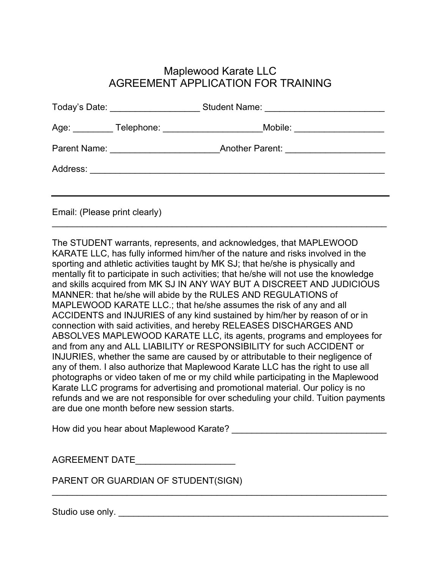## Maplewood Karate LLC AGREEMENT APPLICATION FOR TRAINING

|                               | Age: _________ Telephone: ______________________Mobile: _______________________ |  |
|-------------------------------|---------------------------------------------------------------------------------|--|
|                               |                                                                                 |  |
|                               |                                                                                 |  |
|                               |                                                                                 |  |
| Email: (Please print clearly) |                                                                                 |  |

 $\_$  , and the contribution of the contribution of  $\mathcal{L}_1$  , and  $\mathcal{L}_2$  , and  $\mathcal{L}_3$  , and  $\mathcal{L}_4$  , and  $\mathcal{L}_5$  , and  $\mathcal{L}_6$  , and  $\mathcal{L}_7$  , and  $\mathcal{L}_8$  , and  $\mathcal{L}_7$  , and  $\mathcal{L}_8$  , and  $\mathcal{L}_9$  ,

The STUDENT warrants, represents, and acknowledges, that MAPLEWOOD KARATE LLC, has fully informed him/her of the nature and risks involved in the sporting and athletic activities taught by MK SJ; that he/she is physically and mentally fit to participate in such activities; that he/she will not use the knowledge and skills acquired from MK SJ IN ANY WAY BUT A DISCREET AND JUDICIOUS MANNER: that he/she will abide by the RULES AND REGULATIONS of MAPLEWOOD KARATE LLC.; that he/she assumes the risk of any and all ACCIDENTS and INJURIES of any kind sustained by him/her by reason of or in connection with said activities, and hereby RELEASES DISCHARGES AND ABSOLVES MAPLEWOOD KARATE LLC, its agents, programs and employees for and from any and ALL LIABILITY or RESPONSIBILITY for such ACCIDENT or INJURIES, whether the same are caused by or attributable to their negligence of any of them. I also authorize that Maplewood Karate LLC has the right to use all photographs or video taken of me or my child while participating in the Maplewood Karate LLC programs for advertising and promotional material. Our policy is no refunds and we are not responsible for over scheduling your child. Tuition payments are due one month before new session starts.

 $\mathcal{L}_\mathcal{L} = \{ \mathcal{L}_\mathcal{L} = \{ \mathcal{L}_\mathcal{L} = \{ \mathcal{L}_\mathcal{L} = \{ \mathcal{L}_\mathcal{L} = \{ \mathcal{L}_\mathcal{L} = \{ \mathcal{L}_\mathcal{L} = \{ \mathcal{L}_\mathcal{L} = \{ \mathcal{L}_\mathcal{L} = \{ \mathcal{L}_\mathcal{L} = \{ \mathcal{L}_\mathcal{L} = \{ \mathcal{L}_\mathcal{L} = \{ \mathcal{L}_\mathcal{L} = \{ \mathcal{L}_\mathcal{L} = \{ \mathcal{L}_\mathcal{$ 

How did you hear about Maplewood Karate? \_\_\_\_\_\_\_\_\_\_\_\_\_\_\_\_\_\_\_\_\_\_\_\_\_\_\_\_\_\_\_

| <b>AGREEMENT DATE</b> |  |
|-----------------------|--|
|                       |  |

PARENT OR GUARDIAN OF STUDENT(SIGN)

Studio use only. \_\_\_\_\_\_\_\_\_\_\_\_\_\_\_\_\_\_\_\_\_\_\_\_\_\_\_\_\_\_\_\_\_\_\_\_\_\_\_\_\_\_\_\_\_\_\_\_\_\_\_\_\_\_